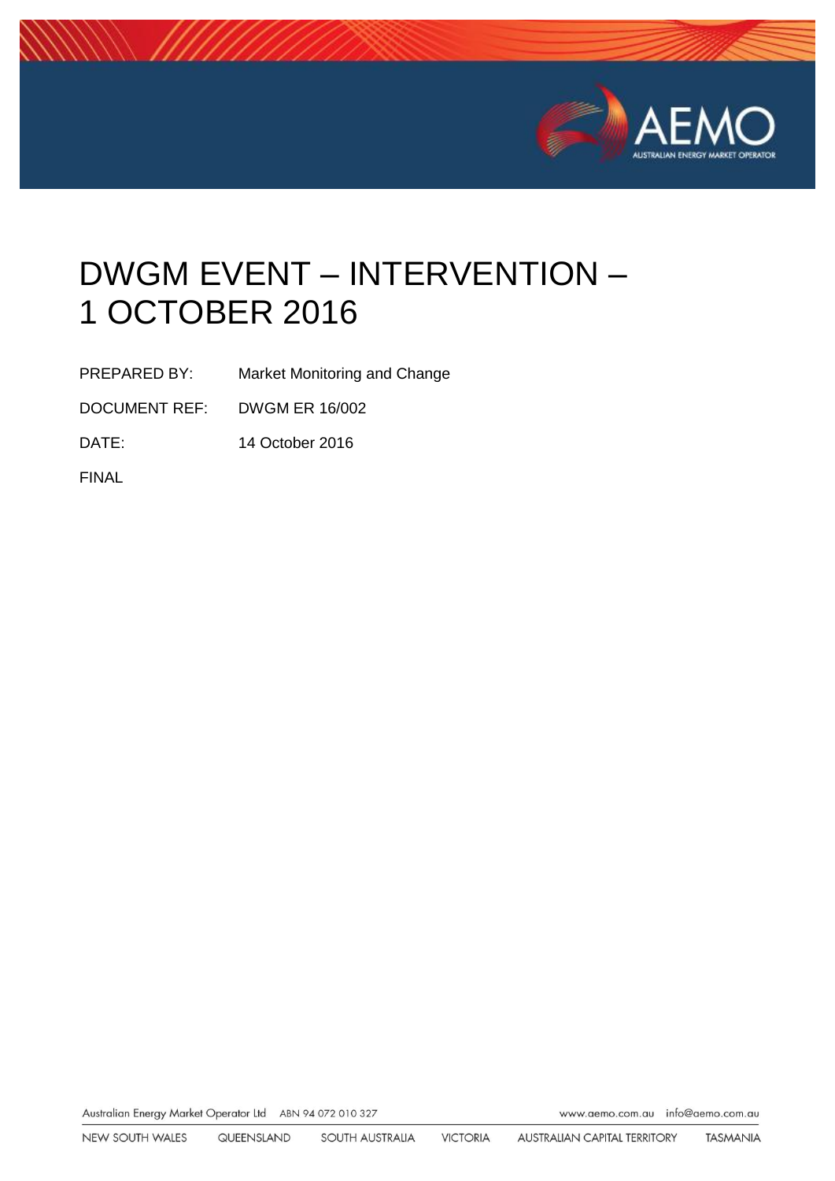

# DWGM EVENT – INTERVENTION – 1 OCTOBER 2016

PREPARED BY: Market Monitoring and Change

DOCUMENT REF: DWGM ER 16/002

DATE: 14 October 2016

FINAL

Australian Energy Market Operator Ltd ABN 94 072 010 327

www.aemo.com.au info@aemo.com.au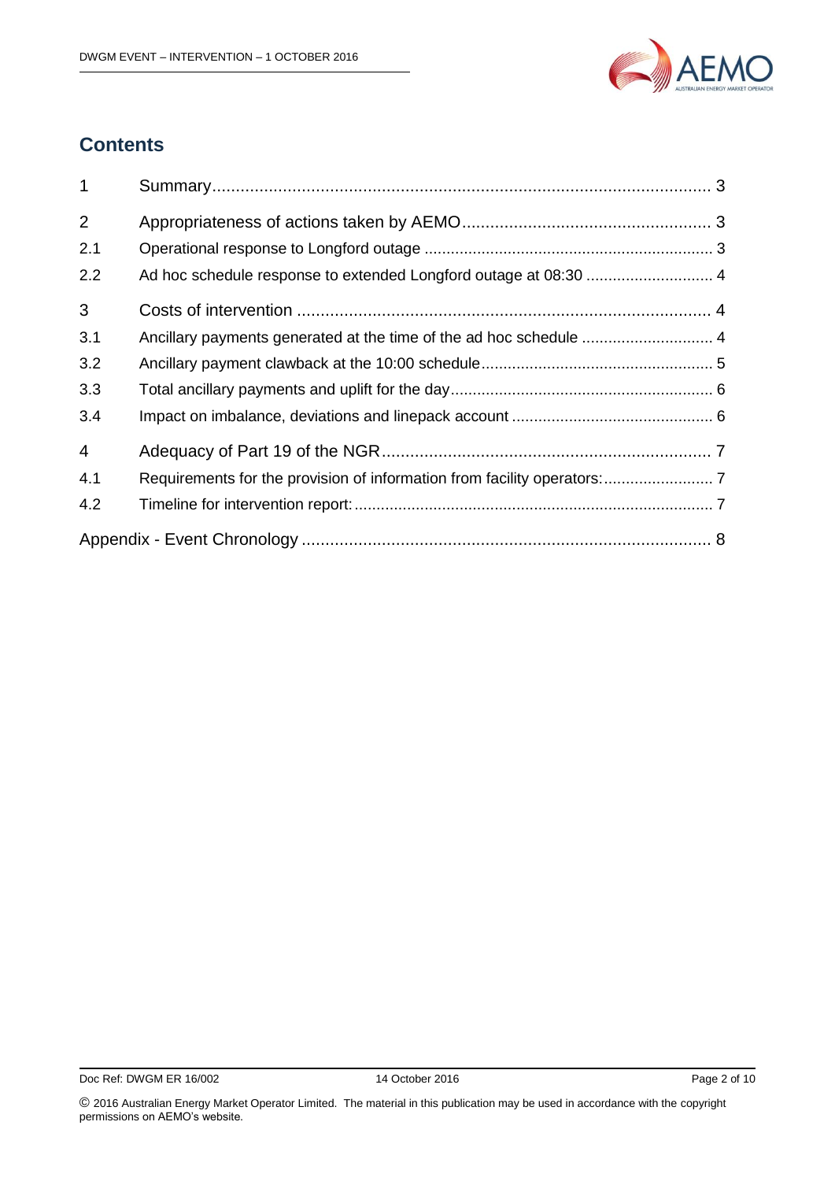

# **Contents**

| $\mathbf{1}$   |                                                                    |  |
|----------------|--------------------------------------------------------------------|--|
| 2              |                                                                    |  |
| 2.1            |                                                                    |  |
| 2.2            |                                                                    |  |
| 3              |                                                                    |  |
| 3.1            | Ancillary payments generated at the time of the ad hoc schedule  4 |  |
| 3.2            |                                                                    |  |
| 3.3            |                                                                    |  |
| 3.4            |                                                                    |  |
| $\overline{4}$ |                                                                    |  |
| 4.1            |                                                                    |  |
| 4.2            |                                                                    |  |
|                |                                                                    |  |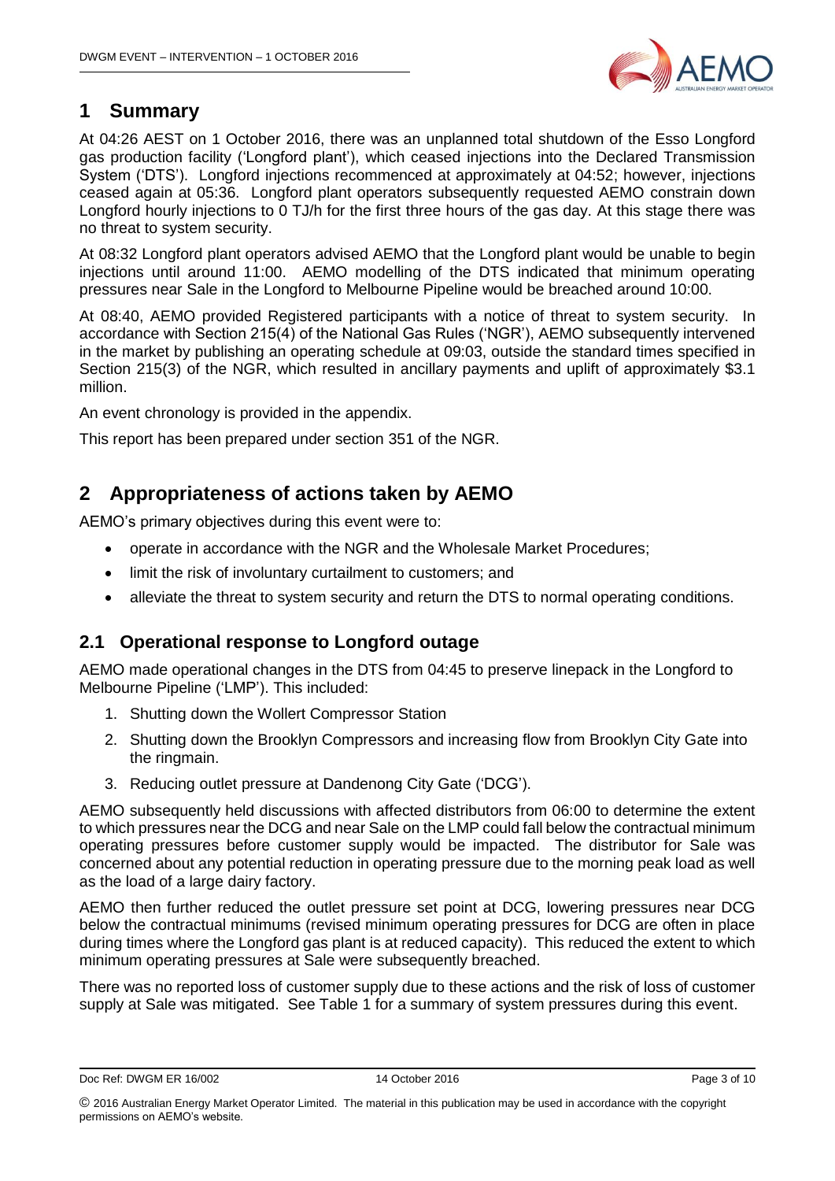

# <span id="page-2-0"></span>**1 Summary**

At 04:26 AEST on 1 October 2016, there was an unplanned total shutdown of the Esso Longford gas production facility ('Longford plant'), which ceased injections into the Declared Transmission System ('DTS'). Longford injections recommenced at approximately at 04:52; however, injections ceased again at 05:36. Longford plant operators subsequently requested AEMO constrain down Longford hourly injections to 0 TJ/h for the first three hours of the gas day. At this stage there was no threat to system security.

At 08:32 Longford plant operators advised AEMO that the Longford plant would be unable to begin injections until around 11:00. AEMO modelling of the DTS indicated that minimum operating pressures near Sale in the Longford to Melbourne Pipeline would be breached around 10:00.

At 08:40, AEMO provided Registered participants with a notice of threat to system security. In accordance with Section 215(4) of the National Gas Rules ('NGR'), AEMO subsequently intervened in the market by publishing an operating schedule at 09:03, outside the standard times specified in Section 215(3) of the NGR, which resulted in ancillary payments and uplift of approximately \$3.1 million.

An event chronology is provided in the appendix.

This report has been prepared under section 351 of the NGR.

# <span id="page-2-1"></span>**2 Appropriateness of actions taken by AEMO**

AEMO's primary objectives during this event were to:

- operate in accordance with the NGR and the Wholesale Market Procedures;
- limit the risk of involuntary curtailment to customers; and
- alleviate the threat to system security and return the DTS to normal operating conditions.

# <span id="page-2-2"></span>**2.1 Operational response to Longford outage**

AEMO made operational changes in the DTS from 04:45 to preserve linepack in the Longford to Melbourne Pipeline ('LMP'). This included:

- 1. Shutting down the Wollert Compressor Station
- 2. Shutting down the Brooklyn Compressors and increasing flow from Brooklyn City Gate into the ringmain.
- 3. Reducing outlet pressure at Dandenong City Gate ('DCG').

AEMO subsequently held discussions with affected distributors from 06:00 to determine the extent to which pressures near the DCG and near Sale on the LMP could fall below the contractual minimum operating pressures before customer supply would be impacted. The distributor for Sale was concerned about any potential reduction in operating pressure due to the morning peak load as well as the load of a large dairy factory.

AEMO then further reduced the outlet pressure set point at DCG, lowering pressures near DCG below the contractual minimums (revised minimum operating pressures for DCG are often in place during times where the Longford gas plant is at reduced capacity). This reduced the extent to which minimum operating pressures at Sale were subsequently breached.

There was no reported loss of customer supply due to these actions and the risk of loss of customer supply at Sale was mitigated. See Table 1 for a summary of system pressures during this event.

Doc Ref: DWGM ER 16/002 14 October 2016 Page 3 of 10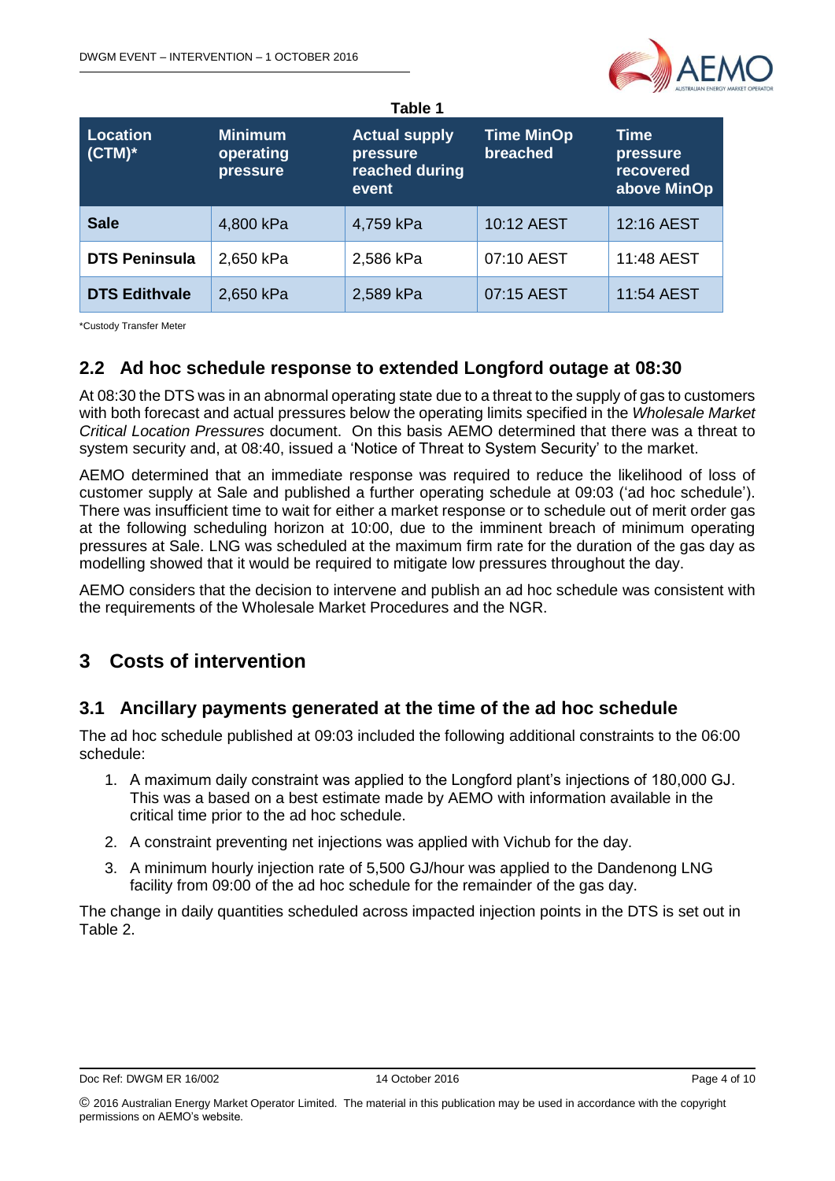

| <b>Location</b><br>$(CTM)^*$ | <b>Minimum</b><br>operating<br>pressure | <b>Actual supply</b><br>pressure<br>reached during<br>event | <b>Time MinOp</b><br>breached | <b>Time</b><br>pressure<br>recovered<br>above MinOp |
|------------------------------|-----------------------------------------|-------------------------------------------------------------|-------------------------------|-----------------------------------------------------|
| <b>Sale</b>                  | 4,800 kPa                               | 4,759 kPa                                                   | 10:12 AEST                    | 12:16 AEST                                          |
| <b>DTS Peninsula</b>         | 2,650 kPa                               | 2,586 kPa                                                   | 07:10 AEST                    | 11:48 AEST                                          |
| <b>DTS Edithvale</b>         | 2,650 kPa                               | 2,589 kPa                                                   | 07:15 AEST                    | 11:54 AEST                                          |

\*Custody Transfer Meter

## <span id="page-3-0"></span>**2.2 Ad hoc schedule response to extended Longford outage at 08:30**

At 08:30 the DTS was in an abnormal operating state due to a threat to the supply of gas to customers with both forecast and actual pressures below the operating limits specified in the *Wholesale Market Critical Location Pressures* document. On this basis AEMO determined that there was a threat to system security and, at 08:40, issued a 'Notice of Threat to System Security' to the market.

AEMO determined that an immediate response was required to reduce the likelihood of loss of customer supply at Sale and published a further operating schedule at 09:03 ('ad hoc schedule'). There was insufficient time to wait for either a market response or to schedule out of merit order gas at the following scheduling horizon at 10:00, due to the imminent breach of minimum operating pressures at Sale. LNG was scheduled at the maximum firm rate for the duration of the gas day as modelling showed that it would be required to mitigate low pressures throughout the day.

AEMO considers that the decision to intervene and publish an ad hoc schedule was consistent with the requirements of the Wholesale Market Procedures and the NGR.

# <span id="page-3-1"></span>**3 Costs of intervention**

### <span id="page-3-2"></span>**3.1 Ancillary payments generated at the time of the ad hoc schedule**

The ad hoc schedule published at 09:03 included the following additional constraints to the 06:00 schedule:

- 1. A maximum daily constraint was applied to the Longford plant's injections of 180,000 GJ. This was a based on a best estimate made by AEMO with information available in the critical time prior to the ad hoc schedule.
- 2. A constraint preventing net injections was applied with Vichub for the day.
- 3. A minimum hourly injection rate of 5,500 GJ/hour was applied to the Dandenong LNG facility from 09:00 of the ad hoc schedule for the remainder of the gas day.

The change in daily quantities scheduled across impacted injection points in the DTS is set out in Table 2.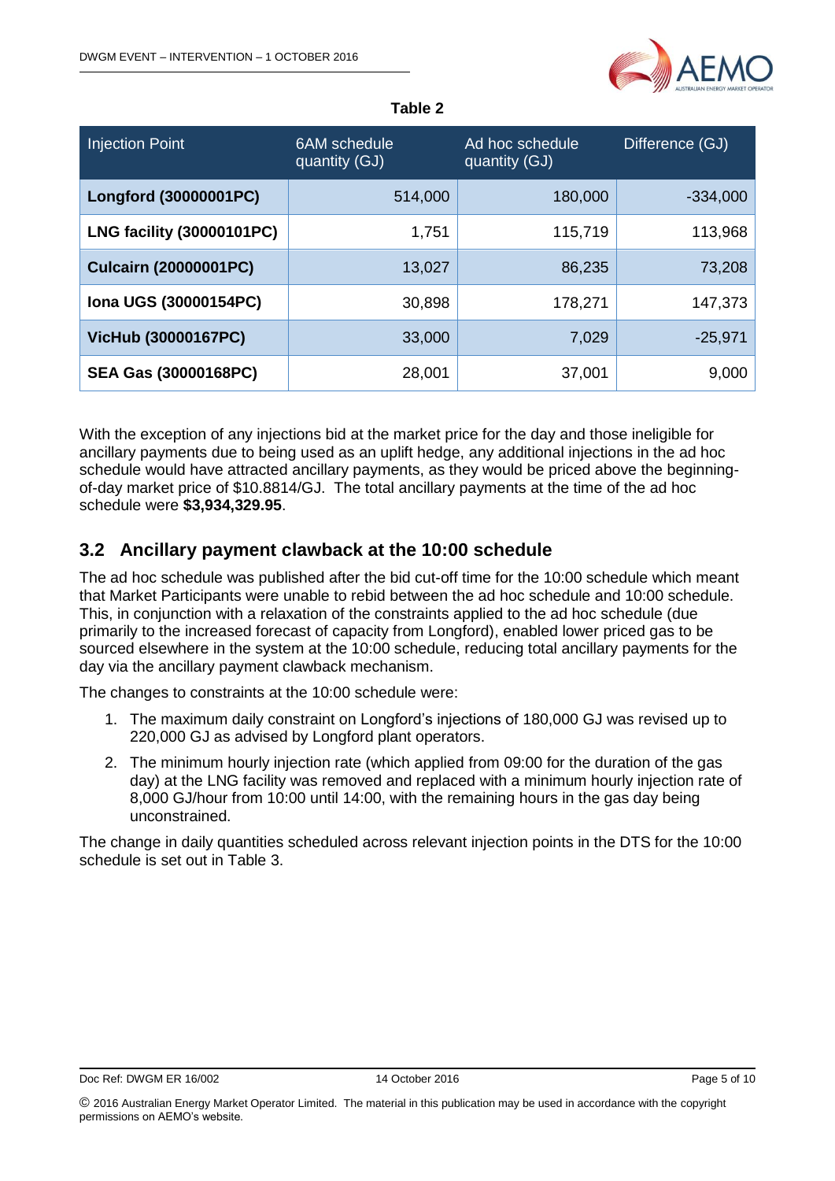

|  |  | ı<br>10 |  |  |
|--|--|---------|--|--|
|--|--|---------|--|--|

| <b>Injection Point</b>           | 6AM schedule<br>quantity (GJ) | Ad hoc schedule<br>quantity (GJ) | Difference (GJ) |
|----------------------------------|-------------------------------|----------------------------------|-----------------|
| Longford (30000001PC)            | 514,000                       | 180,000                          | $-334,000$      |
| <b>LNG facility (30000101PC)</b> | 1,751                         | 115,719                          | 113,968         |
| <b>Culcairn (20000001PC)</b>     | 13,027                        | 86,235                           | 73,208          |
| Iona UGS (30000154PC)            | 30,898                        | 178,271                          | 147,373         |
| <b>VicHub (30000167PC)</b>       | 33,000                        | 7,029                            | $-25,971$       |
| <b>SEA Gas (30000168PC)</b>      | 28,001                        | 37,001                           | 9,000           |

With the exception of any injections bid at the market price for the day and those ineligible for ancillary payments due to being used as an uplift hedge, any additional injections in the ad hoc schedule would have attracted ancillary payments, as they would be priced above the beginningof-day market price of \$10.8814/GJ. The total ancillary payments at the time of the ad hoc schedule were **\$3,934,329.95**.

## <span id="page-4-0"></span>**3.2 Ancillary payment clawback at the 10:00 schedule**

The ad hoc schedule was published after the bid cut-off time for the 10:00 schedule which meant that Market Participants were unable to rebid between the ad hoc schedule and 10:00 schedule. This, in conjunction with a relaxation of the constraints applied to the ad hoc schedule (due primarily to the increased forecast of capacity from Longford), enabled lower priced gas to be sourced elsewhere in the system at the 10:00 schedule, reducing total ancillary payments for the day via the ancillary payment clawback mechanism.

The changes to constraints at the 10:00 schedule were:

- 1. The maximum daily constraint on Longford's injections of 180,000 GJ was revised up to 220,000 GJ as advised by Longford plant operators.
- 2. The minimum hourly injection rate (which applied from 09:00 for the duration of the gas day) at the LNG facility was removed and replaced with a minimum hourly injection rate of 8,000 GJ/hour from 10:00 until 14:00, with the remaining hours in the gas day being unconstrained.

The change in daily quantities scheduled across relevant injection points in the DTS for the 10:00 schedule is set out in Table 3.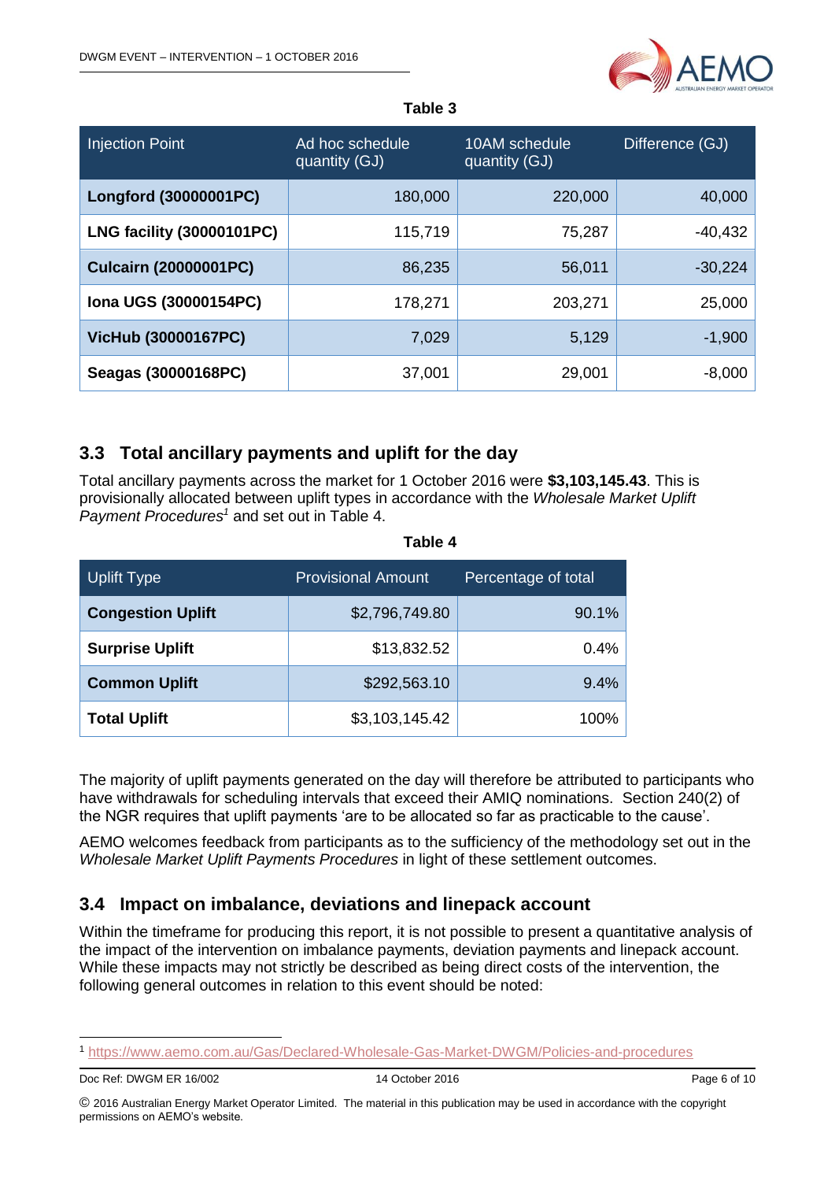

#### **Table 3**

| <b>Injection Point</b>           | Ad hoc schedule<br>quantity (GJ) | 10AM schedule<br>quantity (GJ) | Difference (GJ) |
|----------------------------------|----------------------------------|--------------------------------|-----------------|
| Longford (30000001PC)            | 180,000                          | 220,000                        | 40,000          |
| <b>LNG facility (30000101PC)</b> | 115,719                          | 75,287                         | $-40,432$       |
| <b>Culcairn (20000001PC)</b>     | 86,235                           | 56,011                         | $-30,224$       |
| Iona UGS (30000154PC)            | 178,271                          | 203,271                        | 25,000          |
| <b>VicHub (30000167PC)</b>       | 7,029                            | 5,129                          | $-1,900$        |
| Seagas (30000168PC)              | 37,001                           | 29,001                         | $-8,000$        |

# <span id="page-5-0"></span>**3.3 Total ancillary payments and uplift for the day**

Total ancillary payments across the market for 1 October 2016 were **\$3,103,145.43**. This is provisionally allocated between uplift types in accordance with the *Wholesale Market Uplift Payment Procedures<sup>1</sup>* and set out in Table 4.

| <b>Uplift Type</b>       | <b>Provisional Amount</b> | Percentage of total |
|--------------------------|---------------------------|---------------------|
| <b>Congestion Uplift</b> | \$2,796,749.80            | 90.1%               |
| <b>Surprise Uplift</b>   | \$13,832.52               | 0.4%                |
| <b>Common Uplift</b>     | \$292,563.10              | 9.4%                |
| <b>Total Uplift</b>      | \$3,103,145.42            | 100%                |

#### **Table 4**

The majority of uplift payments generated on the day will therefore be attributed to participants who have withdrawals for scheduling intervals that exceed their AMIQ nominations. Section 240(2) of the NGR requires that uplift payments 'are to be allocated so far as practicable to the cause'.

AEMO welcomes feedback from participants as to the sufficiency of the methodology set out in the *Wholesale Market Uplift Payments Procedures* in light of these settlement outcomes.

### <span id="page-5-1"></span>**3.4 Impact on imbalance, deviations and linepack account**

Within the timeframe for producing this report, it is not possible to present a quantitative analysis of the impact of the intervention on imbalance payments, deviation payments and linepack account. While these impacts may not strictly be described as being direct costs of the intervention, the following general outcomes in relation to this event should be noted:

-

<sup>1</sup> <https://www.aemo.com.au/Gas/Declared-Wholesale-Gas-Market-DWGM/Policies-and-procedures>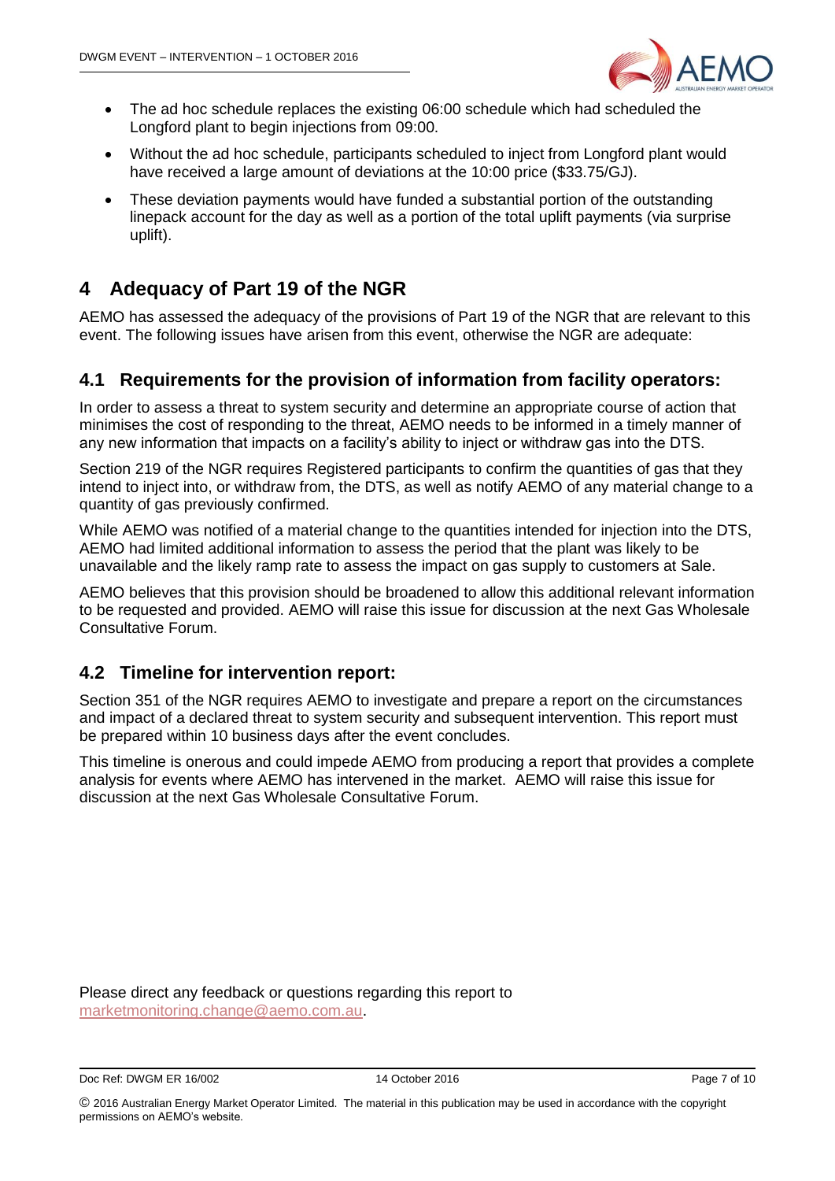

- The ad hoc schedule replaces the existing 06:00 schedule which had scheduled the Longford plant to begin injections from 09:00.
- Without the ad hoc schedule, participants scheduled to inject from Longford plant would have received a large amount of deviations at the 10:00 price (\$33.75/GJ).
- These deviation payments would have funded a substantial portion of the outstanding linepack account for the day as well as a portion of the total uplift payments (via surprise uplift).

# <span id="page-6-0"></span>**4 Adequacy of Part 19 of the NGR**

AEMO has assessed the adequacy of the provisions of Part 19 of the NGR that are relevant to this event. The following issues have arisen from this event, otherwise the NGR are adequate:

## <span id="page-6-1"></span>**4.1 Requirements for the provision of information from facility operators:**

In order to assess a threat to system security and determine an appropriate course of action that minimises the cost of responding to the threat, AEMO needs to be informed in a timely manner of any new information that impacts on a facility's ability to inject or withdraw gas into the DTS.

Section 219 of the NGR requires Registered participants to confirm the quantities of gas that they intend to inject into, or withdraw from, the DTS, as well as notify AEMO of any material change to a quantity of gas previously confirmed.

While AEMO was notified of a material change to the quantities intended for injection into the DTS, AEMO had limited additional information to assess the period that the plant was likely to be unavailable and the likely ramp rate to assess the impact on gas supply to customers at Sale.

AEMO believes that this provision should be broadened to allow this additional relevant information to be requested and provided. AEMO will raise this issue for discussion at the next Gas Wholesale Consultative Forum.

### <span id="page-6-2"></span>**4.2 Timeline for intervention report:**

Section 351 of the NGR requires AEMO to investigate and prepare a report on the circumstances and impact of a declared threat to system security and subsequent intervention. This report must be prepared within 10 business days after the event concludes.

This timeline is onerous and could impede AEMO from producing a report that provides a complete analysis for events where AEMO has intervened in the market. AEMO will raise this issue for discussion at the next Gas Wholesale Consultative Forum.

Please direct any feedback or questions regarding this report to [marketmonitoring.change@aemo.com.au.](mailto:marketmonitoring.change@aemo.com.au)

Doc Ref: DWGM ER 16/002 14 October 2016 Page 7 of 10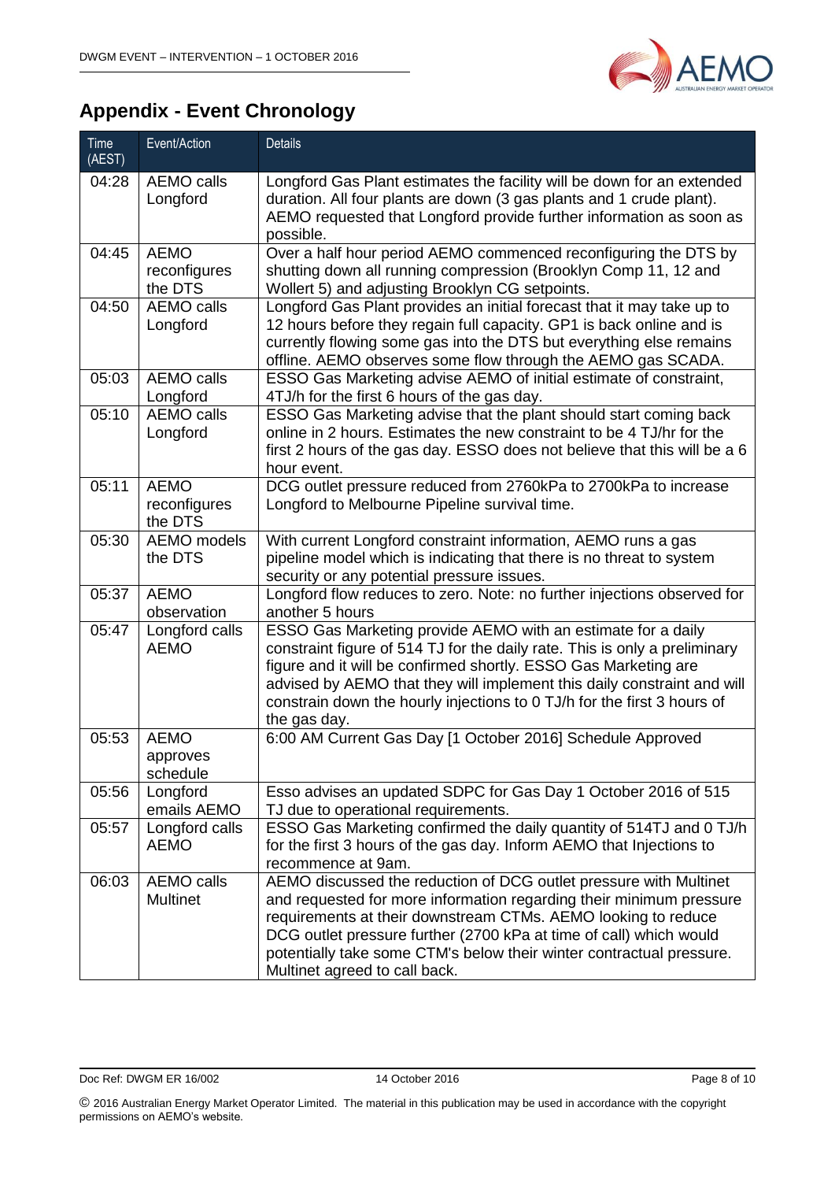

# <span id="page-7-0"></span>**Appendix - Event Chronology**

| <b>Time</b><br>(AEST) | Event/Action                           | <b>Details</b>                                                                                                                                                                                                                                                                                                                                                                           |
|-----------------------|----------------------------------------|------------------------------------------------------------------------------------------------------------------------------------------------------------------------------------------------------------------------------------------------------------------------------------------------------------------------------------------------------------------------------------------|
| 04:28                 | <b>AEMO calls</b><br>Longford          | Longford Gas Plant estimates the facility will be down for an extended<br>duration. All four plants are down (3 gas plants and 1 crude plant).<br>AEMO requested that Longford provide further information as soon as<br>possible.                                                                                                                                                       |
| 04:45                 | <b>AEMO</b><br>reconfigures<br>the DTS | Over a half hour period AEMO commenced reconfiguring the DTS by<br>shutting down all running compression (Brooklyn Comp 11, 12 and<br>Wollert 5) and adjusting Brooklyn CG setpoints.                                                                                                                                                                                                    |
| 04:50                 | <b>AEMO calls</b><br>Longford          | Longford Gas Plant provides an initial forecast that it may take up to<br>12 hours before they regain full capacity. GP1 is back online and is<br>currently flowing some gas into the DTS but everything else remains<br>offline. AEMO observes some flow through the AEMO gas SCADA.                                                                                                    |
| 05:03                 | <b>AEMO calls</b><br>Longford          | ESSO Gas Marketing advise AEMO of initial estimate of constraint,<br>4TJ/h for the first 6 hours of the gas day.                                                                                                                                                                                                                                                                         |
| 05:10                 | <b>AEMO calls</b><br>Longford          | ESSO Gas Marketing advise that the plant should start coming back<br>online in 2 hours. Estimates the new constraint to be 4 TJ/hr for the<br>first 2 hours of the gas day. ESSO does not believe that this will be a 6<br>hour event.                                                                                                                                                   |
| 05:11                 | <b>AEMO</b><br>reconfigures<br>the DTS | DCG outlet pressure reduced from 2760kPa to 2700kPa to increase<br>Longford to Melbourne Pipeline survival time.                                                                                                                                                                                                                                                                         |
| 05:30                 | AEMO models<br>the DTS                 | With current Longford constraint information, AEMO runs a gas<br>pipeline model which is indicating that there is no threat to system<br>security or any potential pressure issues.                                                                                                                                                                                                      |
| 05:37                 | <b>AEMO</b><br>observation             | Longford flow reduces to zero. Note: no further injections observed for<br>another 5 hours                                                                                                                                                                                                                                                                                               |
| 05:47                 | Longford calls<br><b>AEMO</b>          | ESSO Gas Marketing provide AEMO with an estimate for a daily<br>constraint figure of 514 TJ for the daily rate. This is only a preliminary<br>figure and it will be confirmed shortly. ESSO Gas Marketing are<br>advised by AEMO that they will implement this daily constraint and will<br>constrain down the hourly injections to 0 TJ/h for the first 3 hours of<br>the gas day.      |
| 05:53                 | <b>AEMO</b><br>approves<br>schedule    | 6:00 AM Current Gas Day [1 October 2016] Schedule Approved                                                                                                                                                                                                                                                                                                                               |
| 05:56                 | Longford<br>emails AEMO                | Esso advises an updated SDPC for Gas Day 1 October 2016 of 515<br>TJ due to operational requirements.                                                                                                                                                                                                                                                                                    |
| 05:57                 | Longford calls<br><b>AEMO</b>          | ESSO Gas Marketing confirmed the daily quantity of 514TJ and 0 TJ/h<br>for the first 3 hours of the gas day. Inform AEMO that Injections to<br>recommence at 9am.                                                                                                                                                                                                                        |
| 06:03                 | <b>AEMO calls</b><br><b>Multinet</b>   | AEMO discussed the reduction of DCG outlet pressure with Multinet<br>and requested for more information regarding their minimum pressure<br>requirements at their downstream CTMs. AEMO looking to reduce<br>DCG outlet pressure further (2700 kPa at time of call) which would<br>potentially take some CTM's below their winter contractual pressure.<br>Multinet agreed to call back. |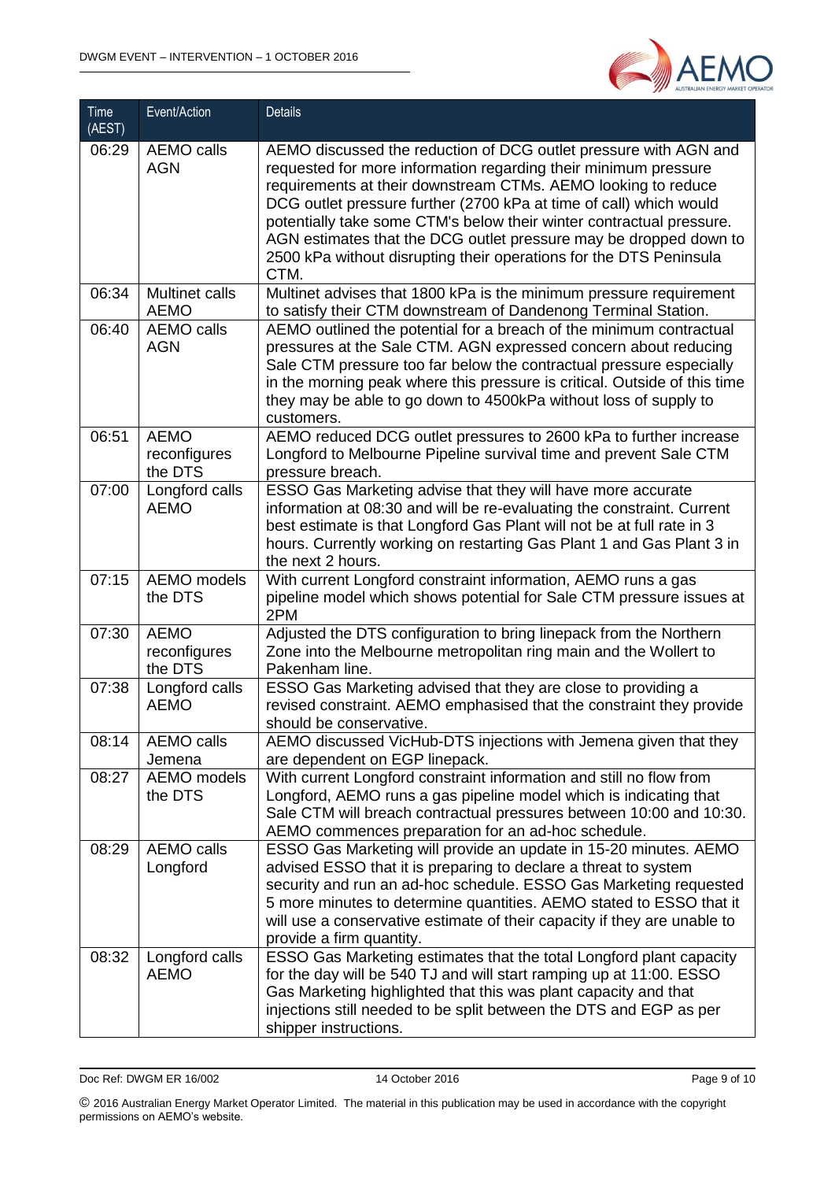

| Time<br>(AEST) | Event/Action                           | <b>Details</b>                                                                                                                                                                                                                                                                                                                                                                                                                                                                                        |
|----------------|----------------------------------------|-------------------------------------------------------------------------------------------------------------------------------------------------------------------------------------------------------------------------------------------------------------------------------------------------------------------------------------------------------------------------------------------------------------------------------------------------------------------------------------------------------|
| 06:29          | <b>AEMO calls</b><br><b>AGN</b>        | AEMO discussed the reduction of DCG outlet pressure with AGN and<br>requested for more information regarding their minimum pressure<br>requirements at their downstream CTMs. AEMO looking to reduce<br>DCG outlet pressure further (2700 kPa at time of call) which would<br>potentially take some CTM's below their winter contractual pressure.<br>AGN estimates that the DCG outlet pressure may be dropped down to<br>2500 kPa without disrupting their operations for the DTS Peninsula<br>CTM. |
| 06:34          | <b>Multinet calls</b><br><b>AEMO</b>   | Multinet advises that 1800 kPa is the minimum pressure requirement<br>to satisfy their CTM downstream of Dandenong Terminal Station.                                                                                                                                                                                                                                                                                                                                                                  |
| 06:40          | <b>AEMO calls</b><br><b>AGN</b>        | AEMO outlined the potential for a breach of the minimum contractual<br>pressures at the Sale CTM. AGN expressed concern about reducing<br>Sale CTM pressure too far below the contractual pressure especially<br>in the morning peak where this pressure is critical. Outside of this time<br>they may be able to go down to 4500kPa without loss of supply to<br>customers.                                                                                                                          |
| 06:51          | <b>AEMO</b><br>reconfigures<br>the DTS | AEMO reduced DCG outlet pressures to 2600 kPa to further increase<br>Longford to Melbourne Pipeline survival time and prevent Sale CTM<br>pressure breach.                                                                                                                                                                                                                                                                                                                                            |
| 07:00          | Longford calls<br><b>AEMO</b>          | ESSO Gas Marketing advise that they will have more accurate<br>information at 08:30 and will be re-evaluating the constraint. Current<br>best estimate is that Longford Gas Plant will not be at full rate in 3<br>hours. Currently working on restarting Gas Plant 1 and Gas Plant 3 in<br>the next 2 hours.                                                                                                                                                                                         |
| 07:15          | <b>AEMO</b> models<br>the DTS          | With current Longford constraint information, AEMO runs a gas<br>pipeline model which shows potential for Sale CTM pressure issues at<br>2PM                                                                                                                                                                                                                                                                                                                                                          |
| 07:30          | <b>AEMO</b><br>reconfigures<br>the DTS | Adjusted the DTS configuration to bring linepack from the Northern<br>Zone into the Melbourne metropolitan ring main and the Wollert to<br>Pakenham line.                                                                                                                                                                                                                                                                                                                                             |
| 07:38          | Longford calls<br><b>AEMO</b>          | ESSO Gas Marketing advised that they are close to providing a<br>revised constraint. AEMO emphasised that the constraint they provide<br>should be conservative.                                                                                                                                                                                                                                                                                                                                      |
| 08:14          | AEMO calls<br>Jemena                   | AEMO discussed VicHub-DTS injections with Jemena given that they<br>are dependent on EGP linepack.                                                                                                                                                                                                                                                                                                                                                                                                    |
| 08:27          | AEMO models<br>the DTS                 | With current Longford constraint information and still no flow from<br>Longford, AEMO runs a gas pipeline model which is indicating that<br>Sale CTM will breach contractual pressures between 10:00 and 10:30.<br>AEMO commences preparation for an ad-hoc schedule.                                                                                                                                                                                                                                 |
| 08:29          | <b>AEMO calls</b><br>Longford          | ESSO Gas Marketing will provide an update in 15-20 minutes. AEMO<br>advised ESSO that it is preparing to declare a threat to system<br>security and run an ad-hoc schedule. ESSO Gas Marketing requested<br>5 more minutes to determine quantities. AEMO stated to ESSO that it<br>will use a conservative estimate of their capacity if they are unable to<br>provide a firm quantity.                                                                                                               |
| 08:32          | Longford calls<br><b>AEMO</b>          | ESSO Gas Marketing estimates that the total Longford plant capacity<br>for the day will be 540 TJ and will start ramping up at 11:00. ESSO<br>Gas Marketing highlighted that this was plant capacity and that<br>injections still needed to be split between the DTS and EGP as per<br>shipper instructions.                                                                                                                                                                                          |